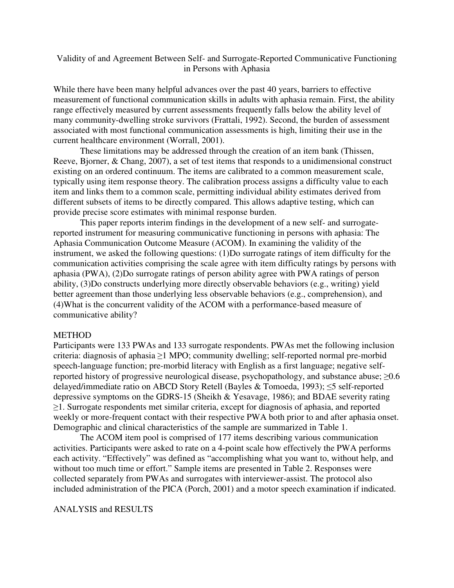## Validity of and Agreement Between Self- and Surrogate-Reported Communicative Functioning in Persons with Aphasia

While there have been many helpful advances over the past 40 years, barriers to effective measurement of functional communication skills in adults with aphasia remain. First, the ability range effectively measured by current assessments frequently falls below the ability level of many community-dwelling stroke survivors (Frattali, 1992). Second, the burden of assessment associated with most functional communication assessments is high, limiting their use in the current healthcare environment (Worrall, 2001).

These limitations may be addressed through the creation of an item bank (Thissen, Reeve, Bjorner, & Chang, 2007), a set of test items that responds to a unidimensional construct existing on an ordered continuum. The items are calibrated to a common measurement scale, typically using item response theory. The calibration process assigns a difficulty value to each item and links them to a common scale, permitting individual ability estimates derived from different subsets of items to be directly compared. This allows adaptive testing, which can provide precise score estimates with minimal response burden.

This paper reports interim findings in the development of a new self- and surrogatereported instrument for measuring communicative functioning in persons with aphasia: The Aphasia Communication Outcome Measure (ACOM). In examining the validity of the instrument, we asked the following questions: (1)Do surrogate ratings of item difficulty for the communication activities comprising the scale agree with item difficulty ratings by persons with aphasia (PWA), (2)Do surrogate ratings of person ability agree with PWA ratings of person ability, (3)Do constructs underlying more directly observable behaviors (e.g., writing) yield better agreement than those underlying less observable behaviors (e.g., comprehension), and (4)What is the concurrent validity of the ACOM with a performance-based measure of communicative ability?

## METHOD

Participants were 133 PWAs and 133 surrogate respondents. PWAs met the following inclusion criteria: diagnosis of aphasia ≥1 MPO; community dwelling; self-reported normal pre-morbid speech-language function; pre-morbid literacy with English as a first language; negative selfreported history of progressive neurological disease, psychopathology, and substance abuse;  $\geq 0.6$ delayed/immediate ratio on ABCD Story Retell (Bayles & Tomoeda, 1993); ≤5 self-reported depressive symptoms on the GDRS-15 (Sheikh & Yesavage, 1986); and BDAE severity rating ≥1. Surrogate respondents met similar criteria, except for diagnosis of aphasia, and reported weekly or more-frequent contact with their respective PWA both prior to and after aphasia onset. Demographic and clinical characteristics of the sample are summarized in Table 1.

 The ACOM item pool is comprised of 177 items describing various communication activities. Participants were asked to rate on a 4-point scale how effectively the PWA performs each activity. "Effectively" was defined as "accomplishing what you want to, without help, and without too much time or effort." Sample items are presented in Table 2. Responses were collected separately from PWAs and surrogates with interviewer-assist. The protocol also included administration of the PICA (Porch, 2001) and a motor speech examination if indicated.

ANALYSIS and RESULTS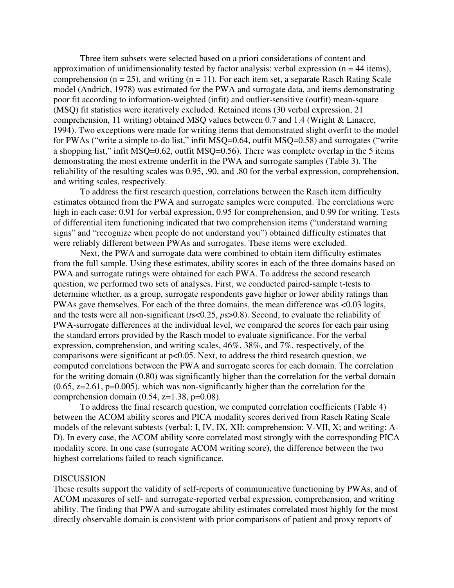Three item subsets were selected based on a priori considerations of content and approximation of unidimensionality tested by factor analysis: verbal expression ( $n = 44$  items), comprehension ( $n = 25$ ), and writing ( $n = 11$ ). For each item set, a separate Rasch Rating Scale model (Andrich, 1978) was estimated for the PWA and surrogate data, and items demonstrating poor fit according to information-weighted (infit) and outlier-sensitive (outfit) mean-square (MSQ) fit statistics were iteratively excluded. Retained items (30 verbal expression, 21 comprehension, 11 writing) obtained MSQ values between 0.7 and 1.4 (Wright & Linacre, 1994). Two exceptions were made for writing items that demonstrated slight overfit to the model for PWAs ("write a simple to-do list," infit MSQ=0.64, outfit MSQ=0.58) and surrogates ("write a shopping list," infit MSQ=0.62, outfit MSQ=0.56). There was complete overlap in the 5 items demonstrating the most extreme underfit in the PWA and surrogate samples (Table 3). The reliability of the resulting scales was 0.95, .90, and .80 for the verbal expression, comprehension, and writing scales, respectively.

 To address the first research question, correlations between the Rasch item difficulty estimates obtained from the PWA and surrogate samples were computed. The correlations were high in each case: 0.91 for verbal expression, 0.95 for comprehension, and 0.99 for writing. Tests of differential item functioning indicated that two comprehension items ("understand warning signs" and "recognize when people do not understand you") obtained difficulty estimates that were reliably different between PWAs and surrogates. These items were excluded.

 Next, the PWA and surrogate data were combined to obtain item difficulty estimates from the full sample. Using these estimates, ability scores in each of the three domains based on PWA and surrogate ratings were obtained for each PWA. To address the second research question, we performed two sets of analyses. First, we conducted paired-sample t-tests to determine whether, as a group, surrogate respondents gave higher or lower ability ratings than PWAs gave themselves. For each of the three domains, the mean difference was <0.03 logits, and the tests were all non-significant (*t*s<0.25, *p*s>0.8). Second, to evaluate the reliability of PWA-surrogate differences at the individual level, we compared the scores for each pair using the standard errors provided by the Rasch model to evaluate significance. For the verbal expression, comprehension, and writing scales, 46%, 38%, and 7%, respectively, of the comparisons were significant at p<0.05. Next, to address the third research question, we computed correlations between the PWA and surrogate scores for each domain. The correlation for the writing domain (0.80) was significantly higher than the correlation for the verbal domain  $(0.65, z=2.61, p=0.005)$ , which was non-significantly higher than the correlation for the comprehension domain  $(0.54, z=1.38, p=0.08)$ .

 To address the final research question, we computed correlation coefficients (Table 4) between the ACOM ability scores and PICA modality scores derived from Rasch Rating Scale models of the relevant subtests (verbal: I, IV, IX, XII; comprehension: V-VII, X; and writing: A-D). In every case, the ACOM ability score correlated most strongly with the corresponding PICA modality score. In one case (surrogate ACOM writing score), the difference between the two highest correlations failed to reach significance.

## **DISCUSSION**

These results support the validity of self-reports of communicative functioning by PWAs, and of ACOM measures of self- and surrogate-reported verbal expression, comprehension, and writing ability. The finding that PWA and surrogate ability estimates correlated most highly for the most directly observable domain is consistent with prior comparisons of patient and proxy reports of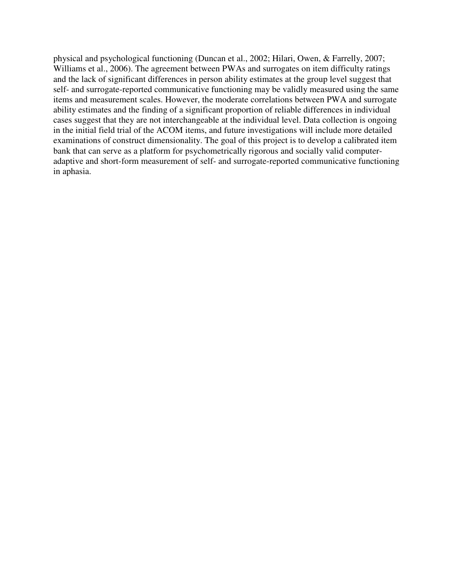physical and psychological functioning (Duncan et al., 2002; Hilari, Owen, & Farrelly, 2007; Williams et al., 2006). The agreement between PWAs and surrogates on item difficulty ratings and the lack of significant differences in person ability estimates at the group level suggest that self- and surrogate-reported communicative functioning may be validly measured using the same items and measurement scales. However, the moderate correlations between PWA and surrogate ability estimates and the finding of a significant proportion of reliable differences in individual cases suggest that they are not interchangeable at the individual level. Data collection is ongoing in the initial field trial of the ACOM items, and future investigations will include more detailed examinations of construct dimensionality. The goal of this project is to develop a calibrated item bank that can serve as a platform for psychometrically rigorous and socially valid computeradaptive and short-form measurement of self- and surrogate-reported communicative functioning in aphasia.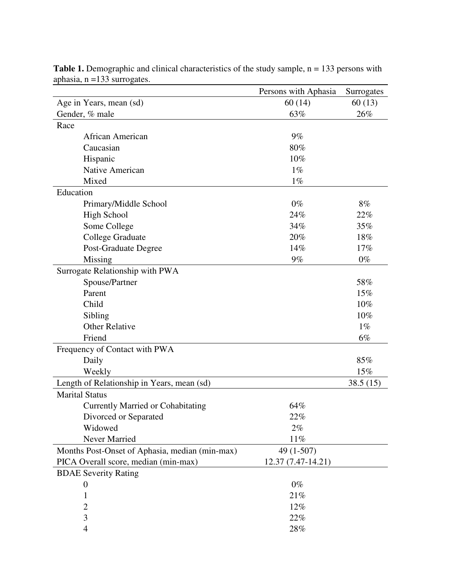|                                                | Persons with Aphasia | Surrogates |
|------------------------------------------------|----------------------|------------|
| Age in Years, mean (sd)                        | 60(14)               | 60(13)     |
| Gender, % male                                 | 63%                  | 26%        |
| Race                                           |                      |            |
| African American                               | $9\%$                |            |
| Caucasian                                      | 80%                  |            |
| Hispanic                                       | 10%                  |            |
| Native American                                | $1\%$                |            |
| Mixed                                          | $1\%$                |            |
| Education                                      |                      |            |
| Primary/Middle School                          | $0\%$                | 8%         |
| <b>High School</b>                             | 24%                  | 22%        |
| Some College                                   | 34%                  | 35%        |
| <b>College Graduate</b>                        | 20%                  | 18%        |
| Post-Graduate Degree                           | 14%                  | 17%        |
| Missing                                        | $9\%$                | $0\%$      |
| Surrogate Relationship with PWA                |                      |            |
| Spouse/Partner                                 |                      | 58%        |
| Parent                                         |                      | 15%        |
| Child                                          |                      | 10%        |
| Sibling                                        |                      | 10%        |
| <b>Other Relative</b>                          |                      | $1\%$      |
| Friend                                         |                      | 6%         |
| Frequency of Contact with PWA                  |                      |            |
| Daily                                          |                      | 85%        |
| Weekly                                         |                      | 15%        |
| Length of Relationship in Years, mean (sd)     |                      | 38.5(15)   |
| <b>Marital Status</b>                          |                      |            |
| <b>Currently Married or Cohabitating</b>       | 64%                  |            |
| Divorced or Separated                          | 22%                  |            |
| Widowed                                        | $2\%$                |            |
| Never Married                                  | $11\%$               |            |
| Months Post-Onset of Aphasia, median (min-max) | 49 (1-507)           |            |
| PICA Overall score, median (min-max)           | 12.37 (7.47-14.21)   |            |
| <b>BDAE Severity Rating</b>                    |                      |            |
| $\overline{0}$                                 | $0\%$                |            |
| 1                                              | 21%                  |            |
| $\overline{c}$                                 | 12%                  |            |
| $\overline{3}$                                 | 22%                  |            |
| $\overline{\mathcal{A}}$                       | 28%                  |            |

Table 1. Demographic and clinical characteristics of the study sample, n = 133 persons with aphasia, n =133 surrogates. <u> 1980 - Andrea Brand, amerikansk politik (d. 1980)</u>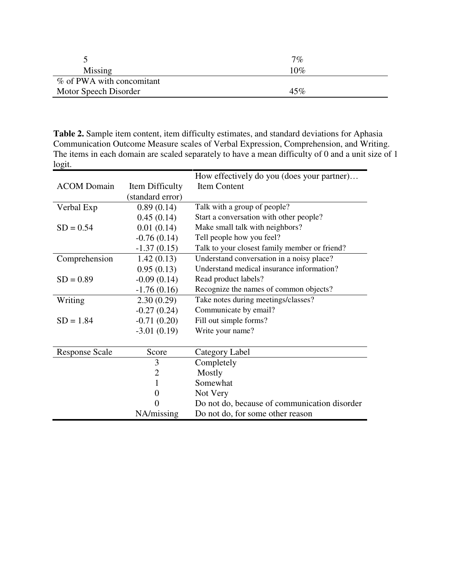|                           | 7%     |
|---------------------------|--------|
| Missing                   | 10%    |
| % of PWA with concomitant |        |
| Motor Speech Disorder     | $45\%$ |

**Table 2.** Sample item content, item difficulty estimates, and standard deviations for Aphasia Communication Outcome Measure scales of Verbal Expression, Comprehension, and Writing. The items in each domain are scaled separately to have a mean difficulty of 0 and a unit size of 1 logit.

|                       |                  | How effectively do you (does your partner)    |
|-----------------------|------------------|-----------------------------------------------|
| <b>ACOM</b> Domain    | Item Difficulty  | Item Content                                  |
|                       | (standard error) |                                               |
| Verbal Exp            | 0.89(0.14)       | Talk with a group of people?                  |
|                       | 0.45(0.14)       | Start a conversation with other people?       |
| $SD = 0.54$           | 0.01(0.14)       | Make small talk with neighbors?               |
|                       | $-0.76(0.14)$    | Tell people how you feel?                     |
|                       | $-1.37(0.15)$    | Talk to your closest family member or friend? |
| Comprehension         | 1.42(0.13)       | Understand conversation in a noisy place?     |
|                       | 0.95(0.13)       | Understand medical insurance information?     |
| $SD = 0.89$           | $-0.09(0.14)$    | Read product labels?                          |
|                       | $-1.76(0.16)$    | Recognize the names of common objects?        |
| Writing               | 2.30(0.29)       | Take notes during meetings/classes?           |
|                       | $-0.27(0.24)$    | Communicate by email?                         |
| $SD = 1.84$           | $-0.71(0.20)$    | Fill out simple forms?                        |
|                       | $-3.01(0.19)$    | Write your name?                              |
|                       |                  |                                               |
| <b>Response Scale</b> | Score            | Category Label                                |
|                       | 3                | Completely                                    |
|                       | $\overline{2}$   | Mostly                                        |
|                       | 1                | Somewhat                                      |
|                       | $\overline{0}$   | Not Very                                      |
|                       | 0                | Do not do, because of communication disorder  |
|                       | NA/missing       | Do not do, for some other reason              |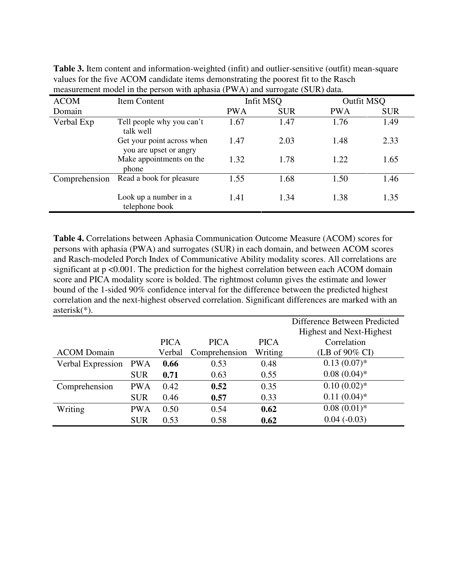| <b>ACOM</b>   | Item Content                                         | $\mu$ and $\mu$ and $\mu$ and $\mu$ and $\mu$ and $\mu$ and $\mu$ and $\mu$ and $\mu$ and $\mu$ and $\mu$<br>Infit MSQ |            | Outfit MSQ |            |
|---------------|------------------------------------------------------|------------------------------------------------------------------------------------------------------------------------|------------|------------|------------|
| Domain        |                                                      | <b>PWA</b>                                                                                                             | <b>SUR</b> | <b>PWA</b> | <b>SUR</b> |
| Verbal Exp    | Tell people why you can't<br>talk well               | 1.67                                                                                                                   | 1.47       | 1.76       | 1.49       |
|               | Get your point across when<br>you are upset or angry | 1.47                                                                                                                   | 2.03       | 1.48       | 2.33       |
|               | Make appointments on the<br>phone                    | 1.32                                                                                                                   | 1.78       | 1.22       | 1.65       |
| Comprehension | Read a book for pleasure                             | 1.55                                                                                                                   | 1.68       | 1.50       | 1.46       |
|               | Look up a number in a<br>telephone book              | 1.41                                                                                                                   | 1.34       | 1.38       | 1.35       |

**Table 3.** Item content and information-weighted (infit) and outlier-sensitive (outfit) mean-square values for the five ACOM candidate items demonstrating the poorest fit to the Rasch measurement model in the person with aphasia (PWA) and surrogate (SUR) data.

**Table 4.** Correlations between Aphasia Communication Outcome Measure (ACOM) scores for persons with aphasia (PWA) and surrogates (SUR) in each domain, and between ACOM scores and Rasch-modeled Porch Index of Communicative Ability modality scores. All correlations are significant at p <0.001. The prediction for the highest correlation between each ACOM domain score and PICA modality score is bolded. The rightmost column gives the estimate and lower bound of the 1-sided 90% confidence interval for the difference between the predicted highest correlation and the next-highest observed correlation. Significant differences are marked with an asterisk(\*).

|                    |            |             |               |             | Difference Between Predicted    |
|--------------------|------------|-------------|---------------|-------------|---------------------------------|
|                    |            |             |               |             | <b>Highest and Next-Highest</b> |
|                    |            | <b>PICA</b> | <b>PICA</b>   | <b>PICA</b> | Correlation                     |
| <b>ACOM</b> Domain |            | Verbal      | Comprehension | Writing     | (LB of $90\%$ CI)               |
| Verbal Expression  | <b>PWA</b> | 0.66        | 0.53          | 0.48        | $0.13(0.07)^*$                  |
|                    | <b>SUR</b> | 0.71        | 0.63          | 0.55        | $0.08(0.04)$ *                  |
| Comprehension      | <b>PWA</b> | 0.42        | 0.52          | 0.35        | $0.10(0.02)$ *                  |
|                    | <b>SUR</b> | 0.46        | 0.57          | 0.33        | $0.11(0.04)$ *                  |
| Writing            | <b>PWA</b> | 0.50        | 0.54          | 0.62        | $0.08(0.01)*$                   |
|                    | <b>SUR</b> | 0.53        | 0.58          | 0.62        | $0.04(-0.03)$                   |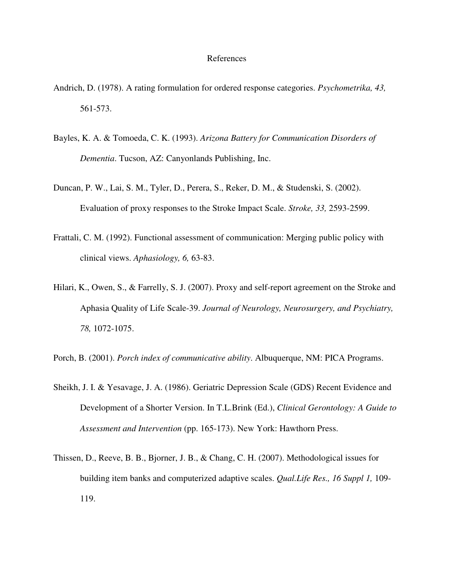## References

- Andrich, D. (1978). A rating formulation for ordered response categories. *Psychometrika, 43,* 561-573.
- Bayles, K. A. & Tomoeda, C. K. (1993). *Arizona Battery for Communication Disorders of Dementia*. Tucson, AZ: Canyonlands Publishing, Inc.
- Duncan, P. W., Lai, S. M., Tyler, D., Perera, S., Reker, D. M., & Studenski, S. (2002). Evaluation of proxy responses to the Stroke Impact Scale. *Stroke, 33,* 2593-2599.
- Frattali, C. M. (1992). Functional assessment of communication: Merging public policy with clinical views. *Aphasiology, 6,* 63-83.
- Hilari, K., Owen, S., & Farrelly, S. J. (2007). Proxy and self-report agreement on the Stroke and Aphasia Quality of Life Scale-39. *Journal of Neurology, Neurosurgery, and Psychiatry, 78,* 1072-1075.
- Porch, B. (2001). *Porch index of communicative ability*. Albuquerque, NM: PICA Programs.
- Sheikh, J. I. & Yesavage, J. A. (1986). Geriatric Depression Scale (GDS) Recent Evidence and Development of a Shorter Version. In T.L.Brink (Ed.), *Clinical Gerontology: A Guide to Assessment and Intervention* (pp. 165-173). New York: Hawthorn Press.
- Thissen, D., Reeve, B. B., Bjorner, J. B., & Chang, C. H. (2007). Methodological issues for building item banks and computerized adaptive scales. *Qual.Life Res., 16 Suppl 1,* 109- 119.